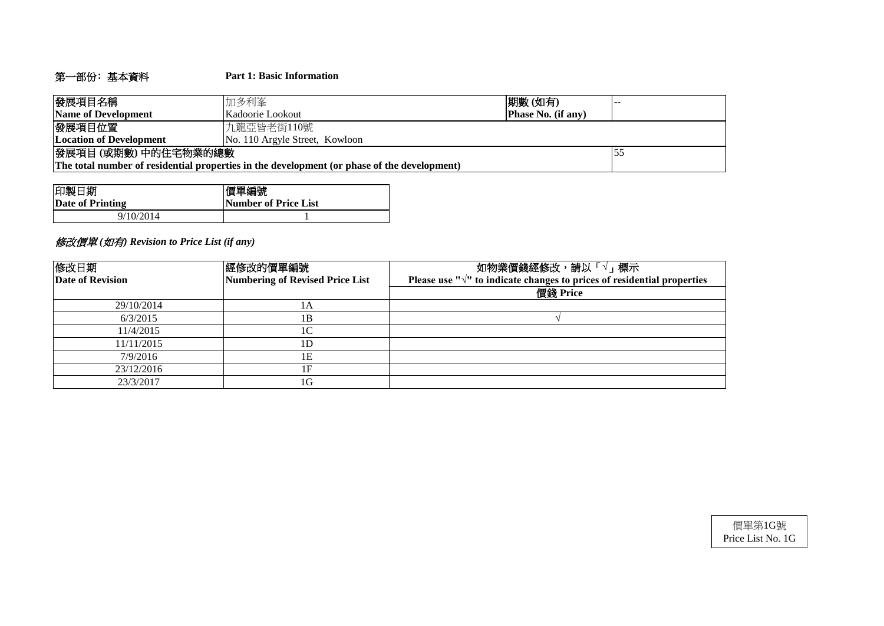# 第一部份﹕基本資料 **Part 1: Basic Information**

| 發展項目名稱                                                                                      | 加多利峯                           | 期數(如有) |  |  |  |  |  |  |  |
|---------------------------------------------------------------------------------------------|--------------------------------|--------|--|--|--|--|--|--|--|
| Name of Development                                                                         | Kadoorie Lookout               |        |  |  |  |  |  |  |  |
| 發展項目位置                                                                                      | 九龍亞皆老街110號                     |        |  |  |  |  |  |  |  |
| <b>Location of Development</b>                                                              | No. 110 Argyle Street, Kowloon |        |  |  |  |  |  |  |  |
| 發展項目(或期數)中的住宅物業的總數                                                                          |                                |        |  |  |  |  |  |  |  |
| The total number of residential properties in the development (or phase of the development) |                                |        |  |  |  |  |  |  |  |

| 印製日期             | 慣單編號                 |
|------------------|----------------------|
| Date of Printing | Number of Price List |
| 9/10/2014        |                      |

# 修改價單 *(*如有*) Revision to Price List (if any)*

| 修改日期             | 經修改的價單編號                        | 如物業價錢經修改,請以「√」標示                                                                  |  |  |  |  |  |  |
|------------------|---------------------------------|-----------------------------------------------------------------------------------|--|--|--|--|--|--|
| Date of Revision | Numbering of Revised Price List | Please use " $\sqrt{ }$ " to indicate changes to prices of residential properties |  |  |  |  |  |  |
|                  |                                 | 價錢 Price                                                                          |  |  |  |  |  |  |
| 29/10/2014       | 1A                              |                                                                                   |  |  |  |  |  |  |
| 6/3/2015         | 1B                              |                                                                                   |  |  |  |  |  |  |
| 11/4/2015        | 1C                              |                                                                                   |  |  |  |  |  |  |
| 11/11/2015       | 1D                              |                                                                                   |  |  |  |  |  |  |
| 7/9/2016         | 1E                              |                                                                                   |  |  |  |  |  |  |
| 23/12/2016       | 1F                              |                                                                                   |  |  |  |  |  |  |
| 23/3/2017        | 1G                              |                                                                                   |  |  |  |  |  |  |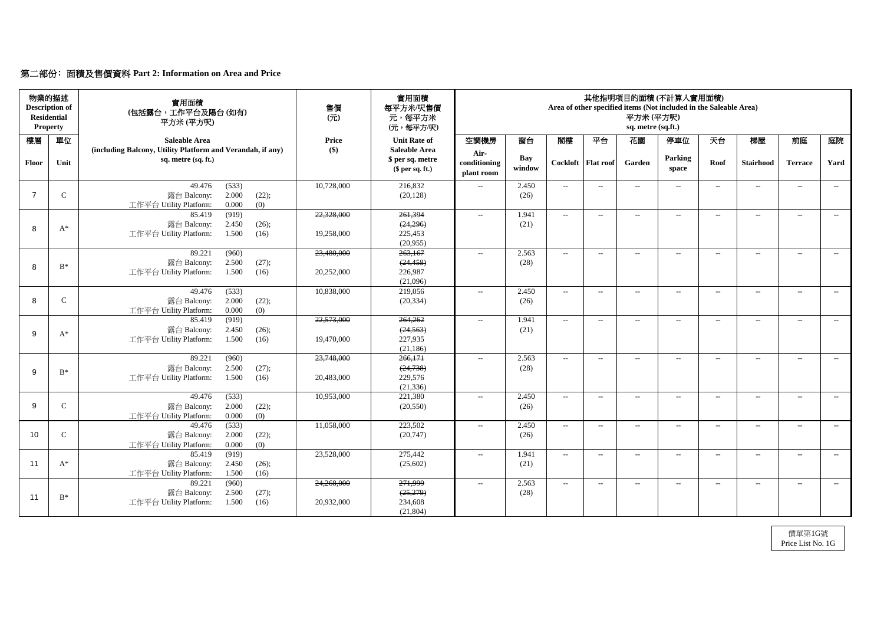# 第二部份﹕面積及售價資料 **Part 2: Information on Area and Price**

|              | 物業的描述<br><b>Description of</b><br><b>Residential</b><br><b>Property</b> | 實用面積<br>(包括露台,工作平台及陽台(如有)<br>平方米(平方呎)                                                       | 售價<br>$\overline{(\overline{\pi})}$ | 實用面積<br>每平方米/呎售價<br>元,每平方米<br>(元,每平方/呎)                    | 其他指明項目的面積(不計算入實用面積)<br>Area of other specified items (Not included in the Saleable Area)<br>平方米(平方呎)<br>sq. metre (sq.ft.) |               |                             |                            |                          |                          |       |                  |                |       |
|--------------|-------------------------------------------------------------------------|---------------------------------------------------------------------------------------------|-------------------------------------|------------------------------------------------------------|----------------------------------------------------------------------------------------------------------------------------|---------------|-----------------------------|----------------------------|--------------------------|--------------------------|-------|------------------|----------------|-------|
| 樓層           | 單位                                                                      | <b>Saleable Area</b>                                                                        | <b>Price</b>                        | <b>Unit Rate of</b>                                        | 空調機房                                                                                                                       | 窗台            | 閣樓                          | 平台                         | 花園                       | 停車位                      | 天台    | 梯屋               | 前庭             | 庭院    |
| <b>Floor</b> | Unit                                                                    | (including Balcony, Utility Platform and Verandah, if any)<br>sq. metre (sq. ft.)           | $\left( \text{\$}\right)$           | <b>Saleable Area</b><br>\$ per sq. metre<br>\$per sq. ft.) | Air-<br>conditioning<br>plant room                                                                                         | Bay<br>window |                             | Cockloft   Flat roof       | Garden                   | Parking<br>space         | Roof  | <b>Stairhood</b> | <b>Terrace</b> | Yard  |
|              | $\mathbf C$                                                             | (533)<br>49.476<br>2.000<br>(22);<br>露台 Balcony:<br>0.000<br>工作平台 Utility Platform:<br>(0)  | 10,728,000                          | 216,832<br>(20, 128)                                       | $-$                                                                                                                        | 2.450<br>(26) | $  \,$                      | $---$                      | $\overline{\phantom{a}}$ | $---$                    | $---$ | $- -$            | $--$           | $---$ |
|              |                                                                         | (919)<br>85.419<br>2.450<br>露台 Balcony:<br>(26);                                            | 22,328,000                          | 261,394<br>(24,296)                                        | $\mathcal{L}_{\mathcal{L}}$                                                                                                | 1.941<br>(21) | $\sim$                      | $--$                       | $--$                     | $---$                    | $---$ | $--$             | $---$          | $--$  |
| 8            | $A^*$                                                                   | 1.500<br>工作平台 Utility Platform:<br>(16)                                                     | 19,258,000                          | 225,453<br>(20,955)                                        |                                                                                                                            |               |                             |                            |                          |                          |       |                  |                |       |
| 8            | $B^*$                                                                   | 89.221<br>(960)<br>2.500<br>(27);<br>露台 Balcony:<br>1.500<br>工作平台 Utility Platform:<br>(16) | 23,480,000<br>20,252,000            | 263,167<br>(24, 458)<br>226,987                            | $\mathcal{L}_{\mathcal{L}}$                                                                                                | 2.563<br>(28) | $--$                        | $--$                       | $--$                     | $\overline{\phantom{a}}$ | $---$ | $--$             | $--$           | $--$  |
|              |                                                                         | 49.476                                                                                      | 10,838,000                          | (21,096)<br>219,056                                        |                                                                                                                            | 2.450         |                             |                            |                          |                          |       |                  |                |       |
| 8            | $\mathsf{C}$                                                            | (533)<br>2.000<br>(22);<br>露台 Balcony:<br>工作平台 Utility Platform:<br>0.000<br>(0)            |                                     | (20, 334)                                                  | $--$                                                                                                                       | (26)          | $--$                        | $--$                       | $--$                     | $\overline{\phantom{a}}$ | $--$  | $---$            | $--$           | $---$ |
| 9            | $A^*$                                                                   | (919)<br>85.419<br>露台 Balcony:<br>2.450<br>(26);<br>工作平台 Utility Platform:<br>1.500<br>(16) | 22,573,000<br>19,470,000            | 264,262<br>(24, 563)<br>227,935<br>(21, 186)               | $- -$                                                                                                                      | 1.941<br>(21) | $  \,$                      | $--$                       | $--$                     | $--$                     | $-$   | $---$            | $---$          | $---$ |
| $\mathsf{Q}$ | $B^*$                                                                   | 89.221<br>(960)<br>2.500<br>(27);<br>露台 Balcony:                                            | 23,748,000                          | 266,171<br>(24, 738)                                       | $--$                                                                                                                       | 2.563<br>(28) | $--$                        | $--$                       | $\qquad \qquad -$        | $--$                     | $---$ | $--$             | $--$           | $--$  |
|              |                                                                         | 工作平台 Utility Platform: 1.500 (16)                                                           | 20,483,000                          | 229,576<br>(21, 336)                                       |                                                                                                                            |               |                             |                            |                          |                          |       |                  |                |       |
| 9            | $\mathcal{C}$                                                           | 49.476<br>(533)<br>露台 Balcony:<br>2.000<br>(22);<br>工作平台 Utility Platform:<br>0.000<br>(0)  | 10,953,000                          | 221,380<br>(20, 550)                                       | $- -$                                                                                                                      | 2.450<br>(26) | $\mathcal{L}_{\mathcal{F}}$ | $--$                       | $\qquad \qquad -$        | $--$                     | $---$ | $--$             | $--$           | $--$  |
| 10           | $\mathcal{C}$                                                           | (533)<br>49.476<br>露台 Balcony:<br>2.000<br>(22);<br>0.000<br>工作平台 Utility Platform:<br>(0)  | 11,058,000                          | 223,502<br>(20, 747)                                       | $- -$                                                                                                                      | 2.450<br>(26) | $\overline{\phantom{a}}$    | $ \!-$                     | $\overline{\phantom{a}}$ | $\overline{\phantom{a}}$ | $---$ | $- -$            | $- -$          | $--$  |
| 11           | $A^*$                                                                   | 85.419<br>(919)<br>露台 Balcony:<br>2.450<br>(26);<br>工作平台 Utility Platform:<br>1.500<br>(16) | 23,528,000                          | 275,442<br>(25,602)                                        | $\overline{\phantom{a}}$                                                                                                   | 1.941<br>(21) | $\mathcal{L}_{\mathcal{L}}$ | $\mathcal{L}(\mathcal{L})$ | $\rightarrow$            | $ -$                     | $--$  | $--$             | $--$           | $--$  |
| 11           | $B^*$                                                                   | 89.221<br>(960)<br>露台 Balcony:<br>2.500<br>(27);<br>工作平台 Utility Platform:<br>1.500<br>(16) | 24,268,000<br>20,932,000            | 271,999<br>(25,279)<br>234,608<br>(21, 804)                | $- -$                                                                                                                      | 2.563<br>(28) | $\mathcal{L}_{\mathcal{L}}$ | $\overline{\phantom{m}}$   | $\rightarrow$            | $\overline{\phantom{m}}$ | $---$ | $- -$            | $--$           | $---$ |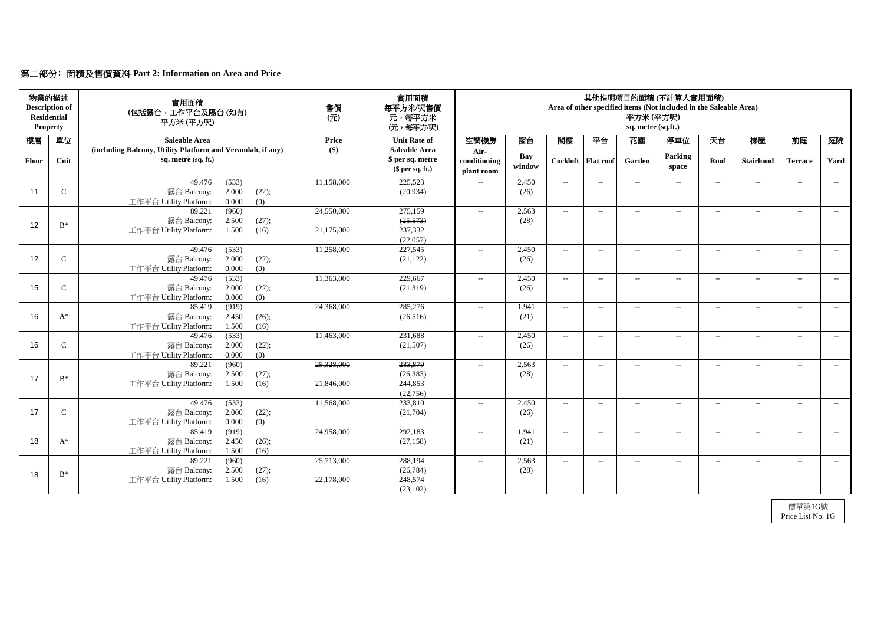# 第二部份﹕面積及售價資料 **Part 2: Information on Area and Price**

| <b>Residential</b> | 物業的描述<br><b>Description of</b><br><b>Property</b> | 實用面積<br>(包括露台,工作平台及陽台(如有)<br>平方米(平方呎)                                                       | 售價<br>$($ $\overrightarrow{\pi}$ $)$ | 實用面積<br>每平方米/呎售價<br>元,每平方米<br>(元,每平方/呎)                    | 其他指明項目的面積(不計算入實用面積)<br>Area of other specified items (Not included in the Saleable Area)<br>平方米(平方呎)<br>sq. metre (sq.ft.) |                      |                          |                      |                          |                          |       |                   |                |       |
|--------------------|---------------------------------------------------|---------------------------------------------------------------------------------------------|--------------------------------------|------------------------------------------------------------|----------------------------------------------------------------------------------------------------------------------------|----------------------|--------------------------|----------------------|--------------------------|--------------------------|-------|-------------------|----------------|-------|
| 樓層                 | 單位                                                | <b>Saleable Area</b>                                                                        | <b>Price</b>                         | <b>Unit Rate of</b>                                        | 空調機房                                                                                                                       | 窗台                   | 閣樓                       | 平台                   | 花園                       | 停車位                      | 天台    | 梯屋                | 前庭             | 庭院    |
| Floor              | Unit                                              | (including Balcony, Utility Platform and Verandah, if any)<br>sq. metre (sq. ft.)           | $\left( \text{\$}\right)$            | <b>Saleable Area</b><br>\$ per sq. metre<br>\$per sq. ft.) | Air-<br>conditioning<br>plant room                                                                                         | <b>Bay</b><br>window |                          | Cockloft   Flat roof | Garden                   | Parking<br>space         | Roof  | <b>Stairhood</b>  | <b>Terrace</b> | Yard  |
| 11                 | $\mathbf C$                                       | (533)<br>49.476<br>2.000<br>露台 Balcony:<br>(22);<br>0.000<br>(0)<br>工作平台 Utility Platform:  | 11,158,000                           | 225,523<br>(20, 934)                                       | $- -$                                                                                                                      | 2.450<br>(26)        | $--$                     | $---$                | $\overline{\phantom{a}}$ | $\overline{\phantom{a}}$ | $---$ | $--$              | $--$           | $---$ |
| 12                 | $B^*$                                             | (960)<br>89.221<br>2.500<br>(27);<br>露台 Balcony:<br>工作平台 Utility Platform:<br>1.500<br>(16) | 24,550,000<br>21,175,000             | 275,159<br>(25, 573)<br>237,332<br>(22,057)                | $\mathcal{L}_{\mathcal{L}}$                                                                                                | 2.563<br>(28)        | $--$                     | $--$                 | $--$                     | $\overline{\phantom{a}}$ | $---$ | $--$              | $--$           | $--$  |
| 12                 | $\mathbf C$                                       | 49.476<br>(533)<br>2.000<br>(22);<br>露台 Balcony:<br>工作平台 Utility Platform:<br>0.000<br>(0)  | 11,258,000                           | 227,545<br>(21, 122)                                       | $--$                                                                                                                       | 2.450<br>(26)        | $\overline{\phantom{a}}$ | $--$                 | $--$                     | $--$                     | $---$ | $--$              | $--$           | $--$  |
| 15                 | $\mathsf{C}$                                      | 49.476<br>(533)<br>2.000<br>露台 Balcony:<br>(22);<br>0.000<br>(0)<br>工作平台 Utility Platform:  | 11,363,000                           | 229,667<br>(21,319)                                        | $- -$                                                                                                                      | 2.450<br>(26)        | $--$                     | $--$                 | $\qquad \qquad -$        | $---$                    | $---$ | $\qquad \qquad -$ | $--$           | $---$ |
| 16                 | $A^*$                                             | (919)<br>85.419<br>露台 Balcony:<br>2.450<br>(26);<br>工作平台 Utility Platform:<br>1.500<br>(16) | 24,368,000                           | 285,276<br>(26,516)                                        | $--$                                                                                                                       | 1.941<br>(21)        | $\sim$                   | $--$                 | $\qquad \qquad -$        | $--$                     | $---$ | $\qquad \qquad -$ | $--$           | $--$  |
| 16                 | $\mathbf C$                                       | (533)<br>49.476<br>2.000<br>(22);<br>露台 Balcony:<br>0.000<br>(0)<br>工作平台 Utility Platform:  | 11,463,000                           | 231,688<br>(21,507)                                        | $- -$                                                                                                                      | 2.450<br>(26)        | $--$                     | $--$                 | $\overline{\phantom{a}}$ | $--$                     | $--$  | $ -$              | $--$           | $--$  |
| 17                 | $B^*$                                             | 89.221<br>(960)<br>露台 Balcony:<br>2.500<br>(27);<br>工作平台 Utility Platform:<br>1.500<br>(16) | 25,328,000<br>21,846,000             | 283,879<br>(26, 383)<br>244,853<br>(22, 756)               | $--$                                                                                                                       | 2.563<br>(28)        | $\sim$                   | $--$                 | $--$                     | $--$                     | $---$ | $--$              | $--$           | $--$  |
| 17                 | $\mathsf{C}$                                      | 49.476<br>(533)<br>2.000<br>露台 Balcony:<br>(22);<br>工作平台 Utility Platform:<br>0.000<br>(0)  | 11,568,000                           | 233,810<br>(21,704)                                        | $- -$                                                                                                                      | 2.450<br>(26)        | $--$                     | $--$                 | $\overline{\phantom{a}}$ | $---$                    | $--$  | $--$              | $--$           | $--$  |
| 18                 | $A^*$                                             | 85.419<br>(919)<br>2.450<br>露台 Balcony:<br>(26);<br>工作平台 Utility Platform:<br>1.500<br>(16) | 24,958,000                           | 292,183<br>(27, 158)                                       | $- -$                                                                                                                      | 1.941<br>(21)        | $--$                     | $--$                 | --                       | $\hspace{0.05cm} \ldots$ | $---$ | $--$              | $--$           | $--$  |
| 18                 | $\mathrm{B}^*$                                    | (960)<br>89.221<br>露台 Balcony:<br>2.500<br>(27);<br>工作平台 Utility Platform:<br>1.500<br>(16) | 25,713,000<br>22,178,000             | 288,194<br>(26, 784)<br>248,574<br>(23,102)                | $- -$                                                                                                                      | 2.563<br>(28)        | $--$                     | $--$                 | $--$                     | $\hspace{0.05cm} \ldots$ | $--$  | $--$              | $--$           | $--$  |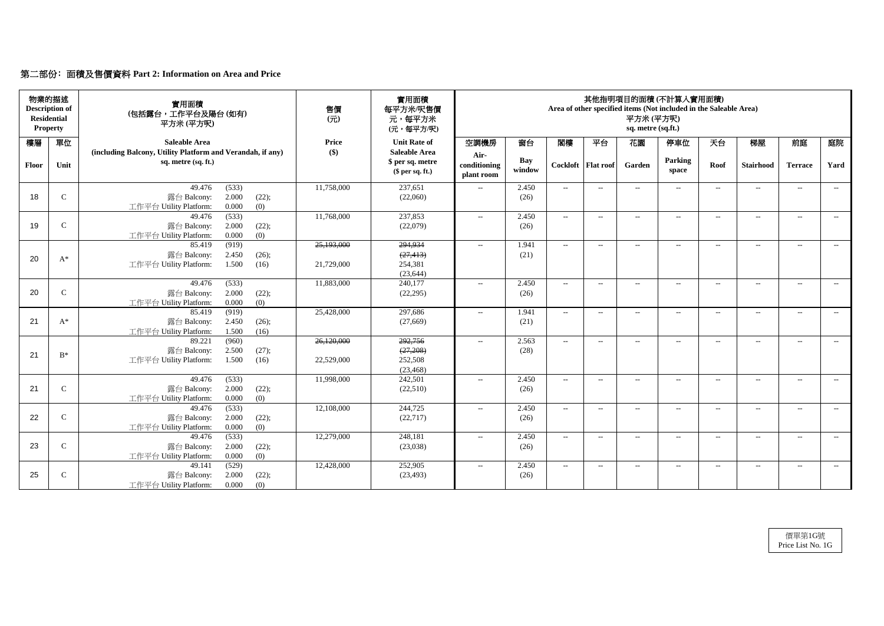# 第二部份﹕面積及售價資料 **Part 2: Information on Area and Price**

| <b>Residential</b> | 物業的描述<br><b>Description of</b><br><b>Property</b> | 實用面積<br>(包括露台,工作平台及陽台(如有)<br>平方米 (平方呎)                                            | 售價<br>$($ $\overrightarrow{\pi}$ $)$ | 實用面積<br>每平方米/呎售價<br>元,每平方米<br>(元,每平方/呎)                    | 其他指明項目的面積(不計算入實用面積)<br>Area of other specified items (Not included in the Saleable Area)<br>平方米(平方呎)<br>sq. metre (sq.ft.) |                      |        |                      |                          |                          |        |                   |                          |       |
|--------------------|---------------------------------------------------|-----------------------------------------------------------------------------------|--------------------------------------|------------------------------------------------------------|----------------------------------------------------------------------------------------------------------------------------|----------------------|--------|----------------------|--------------------------|--------------------------|--------|-------------------|--------------------------|-------|
| 樓層                 | 單位                                                | <b>Saleable Area</b>                                                              | <b>Price</b>                         | <b>Unit Rate of</b>                                        | 空調機房                                                                                                                       | 窗台                   | 閣樓     | 平台                   | 花園                       | 停車位                      | 天台     | 梯屋                | 前庭                       | 庭院    |
| <b>Floor</b>       | Unit                                              | (including Balcony, Utility Platform and Verandah, if any)<br>sq. metre (sq. ft.) | $\left( \text{\$}\right)$            | <b>Saleable Area</b><br>\$ per sq. metre<br>\$per sq. ft.) | Air-<br>conditioning<br>plant room                                                                                         | <b>Bay</b><br>window |        | Cockloft   Flat roof | Garden                   | Parking<br>space         | Roof   | <b>Stairhood</b>  | <b>Terrace</b>           | Yard  |
|                    |                                                   | 49.476<br>(533)                                                                   | 11,758,000                           | 237,651                                                    | $- -$                                                                                                                      | 2.450                | $--$   | $--$                 | $\qquad \qquad -$        | $--$                     | $---$  | $\qquad \qquad -$ | $--$                     | $---$ |
| 18                 | $\mathbf C$                                       | 2.000<br>露台 Balcony:<br>(22);<br>0.000<br>工作平台 Utility Platform:<br>(0)           |                                      | (22,060)                                                   |                                                                                                                            | (26)                 |        |                      |                          |                          |        |                   |                          |       |
|                    |                                                   | (533)<br>49.476                                                                   | 11,768,000                           | 237,853                                                    | $\mathcal{L}_{\mathcal{L}}$                                                                                                | 2.450                | $--$   | $--$                 | $--$                     | $ -$                     | $---$  | $---$             | $--$                     | $--$  |
| 19                 | $\mathbf C$                                       | 2.000<br>(22);<br>露台 Balcony:                                                     |                                      | (22,079)                                                   |                                                                                                                            | (26)                 |        |                      |                          |                          |        |                   |                          |       |
|                    |                                                   | 工作平台 Utility Platform:<br>0.000<br>(0)                                            |                                      |                                                            |                                                                                                                            |                      |        |                      |                          |                          |        |                   |                          |       |
|                    |                                                   | (919)<br>85.419                                                                   | 25,193,000                           | 294,934                                                    | $- -$                                                                                                                      | 1.941                | $--$   | $---$                | $--$                     | $\overline{\phantom{a}}$ | $--$   | $\qquad \qquad -$ | $--$                     | $--$  |
| 20                 | $A^*$                                             | 露台 Balcony:<br>2.450<br>(26);                                                     |                                      | (27, 413)                                                  |                                                                                                                            | (21)                 |        |                      |                          |                          |        |                   |                          |       |
|                    |                                                   | 1.500<br>工作平台 Utility Platform:<br>(16)                                           | 21,729,000                           | 254,381<br>(23, 644)                                       |                                                                                                                            |                      |        |                      |                          |                          |        |                   |                          |       |
|                    |                                                   | (533)<br>49.476                                                                   | 11,883,000                           | 240,177                                                    | $- -$                                                                                                                      | 2.450                | $--$   | $-$                  | $-$                      | $---$                    | $-$    | $---$             | $---$                    | $---$ |
| 20                 | $\mathbf C$                                       | 露台 Balcony:<br>2.000<br>(22);                                                     |                                      | (22, 295)                                                  |                                                                                                                            | (26)                 |        |                      |                          |                          |        |                   |                          |       |
|                    |                                                   | (0)<br>0.000<br>工作平台 Utility Platform:                                            |                                      |                                                            |                                                                                                                            |                      |        |                      |                          |                          |        |                   |                          |       |
|                    |                                                   | (919)<br>85.419                                                                   | 25,428,000                           | 297,686                                                    | $--$                                                                                                                       | 1.941                | $--$   | $---$                | $--$                     | $--$                     | $--$   | $\qquad \qquad -$ | $--$                     | $---$ |
| 21                 | $A^*$                                             | 2.450<br>(26);<br>露台 Balcony:                                                     |                                      | (27,669)                                                   |                                                                                                                            | (21)                 |        |                      |                          |                          |        |                   |                          |       |
|                    |                                                   | 1.500<br>(16)<br>工作平台 Utility Platform:                                           |                                      |                                                            |                                                                                                                            |                      |        |                      |                          |                          |        |                   |                          |       |
|                    |                                                   | (960)<br>89.221                                                                   | 26,120,000                           | 292,756                                                    | $--$                                                                                                                       | 2.563                | $--$   | $--$                 | $--$                     | $--$                     | $--$   | $---$             | $--$                     | $---$ |
| 21                 | $B^*$                                             | 2.500<br>露台 Balcony:<br>(27);                                                     |                                      | (27,208)                                                   |                                                                                                                            | (28)                 |        |                      |                          |                          |        |                   |                          |       |
|                    |                                                   | 工作平台 Utility Platform:<br>1.500<br>(16)                                           | 22,529,000                           | 252,508                                                    |                                                                                                                            |                      |        |                      |                          |                          |        |                   |                          |       |
|                    |                                                   | 49.476<br>(533)                                                                   | 11,998,000                           | (23, 468)<br>242,501                                       | $- -$                                                                                                                      | 2.450                | $-$    | $--$                 | $\rightarrow$            | $--$                     | $--$   | $\qquad \qquad -$ | $\overline{\phantom{a}}$ | $--$  |
| 21                 | $\mathbf C$                                       | 2.000<br>露台 Balcony:<br>(22);                                                     |                                      | (22,510)                                                   |                                                                                                                            | (26)                 |        |                      |                          |                          |        |                   |                          |       |
|                    |                                                   | 0.000<br>工作平台 Utility Platform:<br>(0)                                            |                                      |                                                            |                                                                                                                            |                      |        |                      |                          |                          |        |                   |                          |       |
|                    |                                                   | 49.476<br>(533)                                                                   | 12,108,000                           | 244,725                                                    | $--$                                                                                                                       | 2.450                | $  \,$ | $--$                 | $\overline{\phantom{a}}$ | $---$                    | $- \,$ | $--$              | $--$                     | $--$  |
| 22                 | $\mathsf{C}$                                      | 露台 Balcony:<br>2.000<br>(22);                                                     |                                      | (22, 717)                                                  |                                                                                                                            | (26)                 |        |                      |                          |                          |        |                   |                          |       |
|                    |                                                   | 0.000<br>工作平台 Utility Platform:<br>(0)                                            |                                      |                                                            |                                                                                                                            |                      |        |                      |                          |                          |        |                   |                          |       |
|                    |                                                   | 49.476<br>(533)                                                                   | 12,279,000                           | 248,181                                                    | $- -$                                                                                                                      | 2.450                | $--$   | $--$                 | $\qquad \qquad -$        | $--$                     | $---$  | $--$              | $--$                     | $--$  |
| 23                 | $\mathsf{C}$                                      | 露台 Balcony:<br>2.000<br>(22);                                                     |                                      | (23,038)                                                   |                                                                                                                            | (26)                 |        |                      |                          |                          |        |                   |                          |       |
|                    |                                                   | 0.000<br>工作平台 Utility Platform:<br>(0)                                            |                                      |                                                            |                                                                                                                            |                      |        |                      |                          |                          |        |                   |                          |       |
|                    |                                                   | (529)<br>49.141                                                                   | 12,428,000                           | 252,905                                                    | $- -$                                                                                                                      | 2.450                | $\sim$ | $--$                 | $--$                     | $--$                     | $--$   | $--$              | $--$                     | $--$  |
| 25                 | $\mathsf{C}$                                      | 2.000<br>(22);<br>露台 Balcony:                                                     |                                      | (23, 493)                                                  |                                                                                                                            | (26)                 |        |                      |                          |                          |        |                   |                          |       |
|                    |                                                   | 工作平台 Utility Platform:<br>0.000<br>(0)                                            |                                      |                                                            |                                                                                                                            |                      |        |                      |                          |                          |        |                   |                          |       |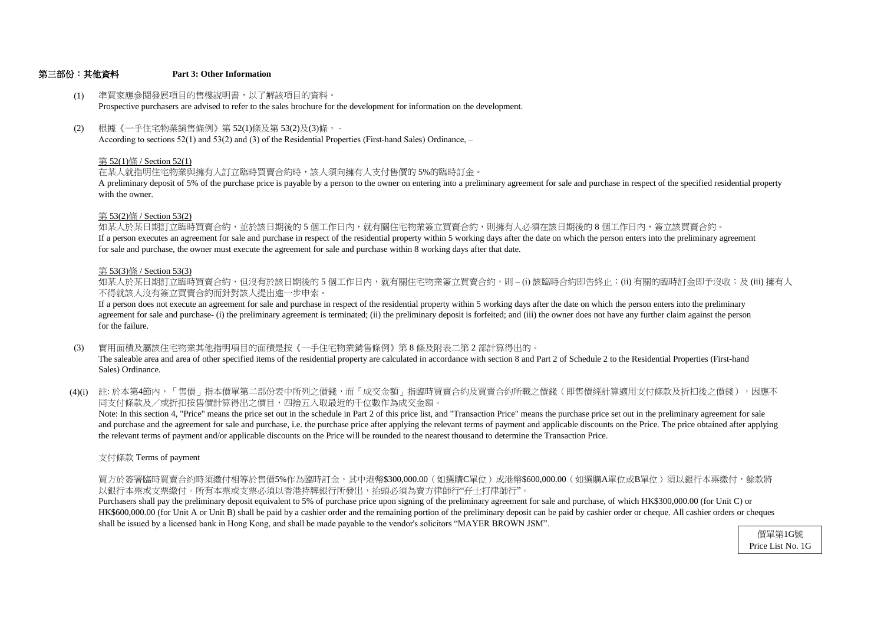### 第三部份:其他資料 **Part 3: Other Information**

for sale and purchase, the owner must execute the agreement for sale and purchase within 8 working days after that date. If a person executes an agreement for sale and purchase in respect of the residential property within 5 working days after the date on which the person enters into the preliminary agreement 如某人於某日期訂立臨時買賣合約,並於該日期後的 5 個工作日內,就有關住宅物業簽立買賣合約,則擁有人必須在該日期後的 8 個工作日内,簽立該買賣合約。

- (1) 準買家應參閱發展項目的售樓說明書,以了解該項目的資料。 Prospective purchasers are advised to refer to the sales brochure for the development for information on the development.
- (2) 根據《一手住宅物業銷售條例》第 52(1)條及第 53(2)及(3)條, - According to sections 52(1) and 53(2) and (3) of the Residential Properties (First-hand Sales) Ordinance, –

# 第 53(2)條 / Section 53(2)

# 第 53(3)條 / Section 53(3)

不得就該人沒有簽立買賣合約而針對該人提出進一步申索。 如某人於某日期訂立臨時買賣合約,但沒有於該日期後的 5 個工作日内,就有關住宅物業簽立買賣合約,則 – (i) 該臨時合約即告終止;(ii) 有關的臨時訂金即予沒收;及 (iii) 擁有人

for the failure. agreement for sale and purchase- (i) the preliminary agreement is terminated; (ii) the preliminary deposit is forfeited; and (iii) the owner does not have any further claim against the person If a person does not execute an agreement for sale and purchase in respect of the residential property within 5 working days after the date on which the person enters into the preliminary

with the owner. A preliminary deposit of 5% of the purchase price is payable by a person to the owner on entering into a preliminary agreement for sale and purchase in respect of the specified residential property

# 第 52(1)條 / Section 52(1)

在某人就指明住宅物業與擁有人訂立臨時買賣合約時,該人須向擁有人支付售價的 5%的臨時訂金。

- (3) 實用面積及屬該住宅物業其他指明項目的面積是按《一手住宅物業銷售條例》第 8 條及附表二第 2 部計算得出的。 The saleable area and area of other specified items of the residential property are calculated in accordance with section 8 and Part 2 of Schedule 2 to the Residential Properties (First-hand Sales) Ordinance.
- (4)(i) 註:於本第4節內,「售價」指本價單第二部份表中所列之價錢,而「成交金額」指臨時買賣合約及買賣合約所載之價錢(即售價經計算適用支付條款及折扣後之價錢),因應不 同支付條款及/或折扣按售價計算得出之價目,四捨五入取最近的千位數作為成交金額。

支付條款 Terms of payment

以銀行本票或支票繳付。所有本票或支票必須以香港持牌銀行所發出,抬頭必須為賣方律師行"孖士打律師行"。 買方於簽署臨時買賣合約時須繳付相等於售價5%作為臨時訂金,其中港幣\$300,000.00(如選購C單位)或港幣\$600,000.00(如選購A單位或B單位)須以銀行本票繳付,餘款將

shall be issued by a licensed bank in Hong Kong, and shall be made payable to the vendor's solicitors "MAYER BROWN JSM". HK\$600,000.00 (for Unit A or Unit B) shall be paid by a cashier order and the remaining portion of the preliminary deposit can be paid by cashier order or cheque. All cashier orders or cheques Purchasers shall pay the preliminary deposit equivalent to 5% of purchase price upon signing of the preliminary agreement for sale and purchase, of which HK\$300,000.00 (for Unit C) or

the relevant terms of payment and/or applicable discounts on the Price will be rounded to the nearest thousand to determine the Transaction Price. and purchase and the agreement for sale and purchase, i.e. the purchase price after applying the relevant terms of payment and applicable discounts on the Price. The price obtained after applying Note: In this section 4, "Price" means the price set out in the schedule in Part 2 of this price list, and "Transaction Price" means the purchase price set out in the preliminary agreement for sale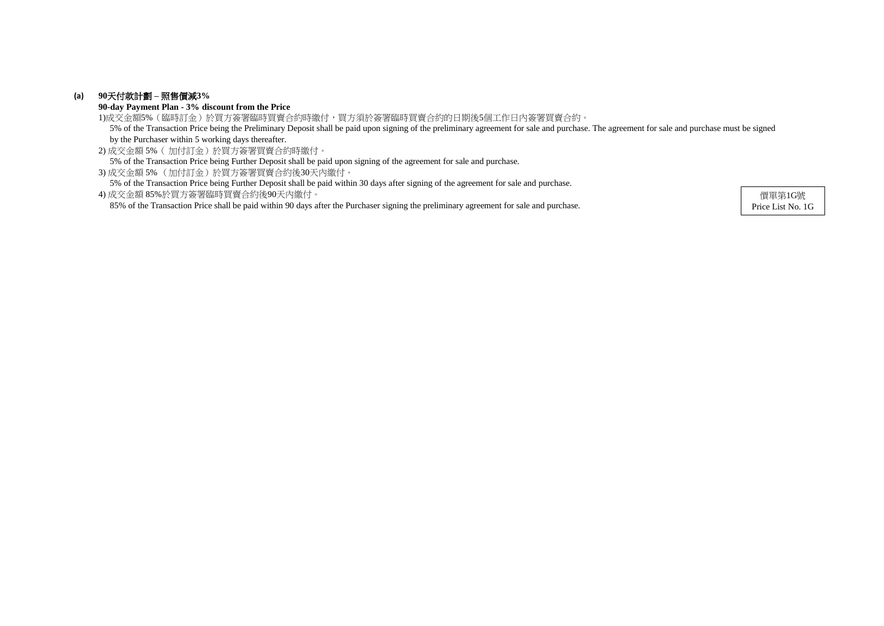# **(a) 90**天付款計劃 **–** 照售價減**3%**

**90-day Payment Plan - 3% discount from the Price**

2) 成交金額 5%( 加付訂金)於買方簽署買賣合約時繳付。 5% of the Transaction Price being Further Deposit shall be paid upon signing of the agreement for sale and purchase.

3) 成交金額 5% (加付訂金)於買方簽署買賣合約後30天內繳付。

5% of the Transaction Price being Further Deposit shall be paid within 30 days after signing of the agreement for sale and purchase.

1)成交金額5%(臨時訂金)於買方簽署臨時買賣合約時繳付,買方須於簽署臨時買賣合約的日期後5個工作日內簽署買賣合約。 5% of the Transaction Price being the Preliminary Deposit shall be paid upon signing of the preliminary agreement for sale and purchase. The agreement for sale and purchase must be signed by the Purchaser within 5 working days thereafter.

4) 成交金額 85%於買方簽署臨時買賣合約後90天內繳付。 85% of the Transaction Price shall be paid within 90 days after the Purchaser signing the preliminary agreement for sale and purchase.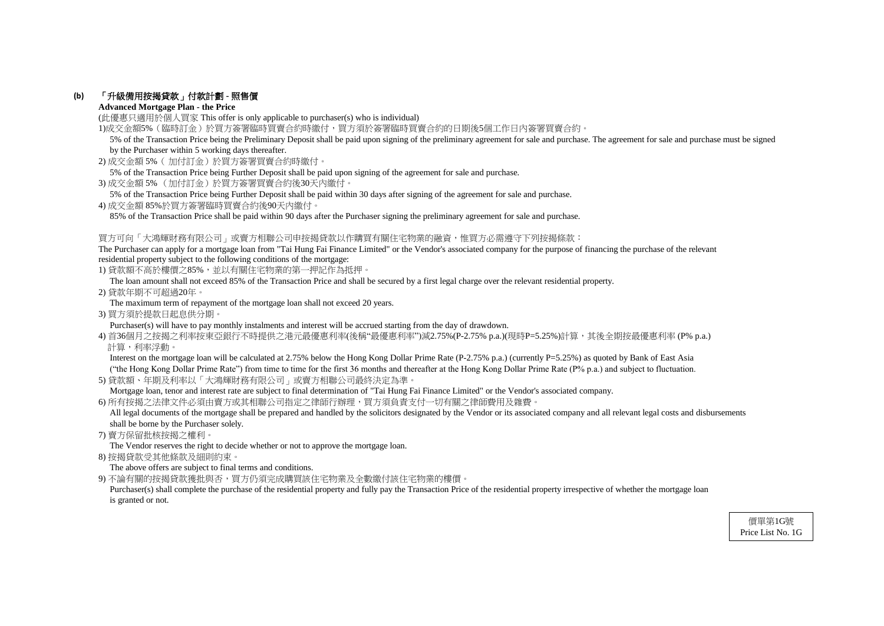# **(b)** 「升級備用按揭貸款」付款計劃 **-** 照售價

# **Advanced Mortgage Plan - the Price**

(此優惠只適用於個人買家 This offer is only applicable to purchaser(s) who is individual)

1)成交金額5%(臨時訂金)於買方簽署臨時買賣合約時繳付,買方須於簽署臨時買賣合約的日期後5個工作日內簽署買賣合約。

- 2) 成交金額 5%( 加付訂金)於買方簽署買賣合約時繳付。
- 5% of the Transaction Price being Further Deposit shall be paid upon signing of the agreement for sale and purchase.
- 3) 成交金額 5% (加付訂金)於買方簽署買賣合約後30天內繳付。
- 5% of the Transaction Price being Further Deposit shall be paid within 30 days after signing of the agreement for sale and purchase.
- 4) 成交金額 85%於買方簽署臨時買賣合約後90天內繳付。

85% of the Transaction Price shall be paid within 90 days after the Purchaser signing the preliminary agreement for sale and purchase.

# 買方可向「大鴻輝財務有限公司」或賣方相聯公司申按揭貸款以作購買有關住宅物業的融資,惟買方必需遵守下列按揭條款:

The Purchaser can apply for a mortgage loan from "Tai Hung Fai Finance Limited" or the Vendor's associated company for the purpose of financing the purchase of the relevant residential property subject to the following conditions of the mortgage:

1) 貸款額不高於樓價之85%,並以有關住宅物業的第一押記作為抵押。

Interest on the mortgage loan will be calculated at 2.75% below the Hong Kong Dollar Prime Rate (P-2.75% p.a.) (currently P=5.25%) as quoted by Bank of East Asia ("the Hong Kong Dollar Prime Rate") from time to time for the first 36 months and thereafter at the Hong Kong Dollar Prime Rate (P% p.a.) and subject to fluctuation.

The loan amount shall not exceed 85% of the Transaction Price and shall be secured by a first legal charge over the relevant residential property.

All legal documents of the mortgage shall be prepared and handled by the solicitors designated by the Vendor or its associated company and all relevant legal costs and disbursements shall be borne by the Purchaser solely.

2) 貸款年期不可超過20年。

The maximum term of repayment of the mortgage loan shall not exceed 20 years.

3) 買方須於提款日起息供分期。

Purchaser(s) will have to pay monthly instalments and interest will be accrued starting from the day of drawdown.

4) 首36個月之按揭之利率按東亞銀行不時提供之港元最優惠利率(後稱"最優惠利率")減2.75%(P-2.75% p.a.)(現時P=5.25%)計算,其後全期按最優惠利率 (P% p.a.) 計算,利率浮動。

Purchaser(s) shall complete the purchase of the residential property and fully pay the Transaction Price of the residential property irrespective of whether the mortgage loan is granted or not.

5) 貸款額、年期及利率以「大鴻輝財務有限公司」或賣方相聯公司最終決定為準。

Mortgage loan, tenor and interest rate are subject to final determination of "Tai Hung Fai Finance Limited" or the Vendor's associated company.

6) 所有按揭之法律文件必須由賣方或其相聯公司指定之律師行辦理,買方須負責支付一切有關之律師費用及雜費。

7) 賣方保留批核按揭之權利。

The Vendor reserves the right to decide whether or not to approve the mortgage loan.

8) 按揭貸款受其他條款及細則約束。

The above offers are subject to final terms and conditions.

9) 不論有關的按揭貸款獲批與否,買方仍須完成購買該住宅物業及全數繳付該住宅物業的樓價。

 5% of the Transaction Price being the Preliminary Deposit shall be paid upon signing of the preliminary agreement for sale and purchase. The agreement for sale and purchase must be signed by the Purchaser within 5 working days thereafter.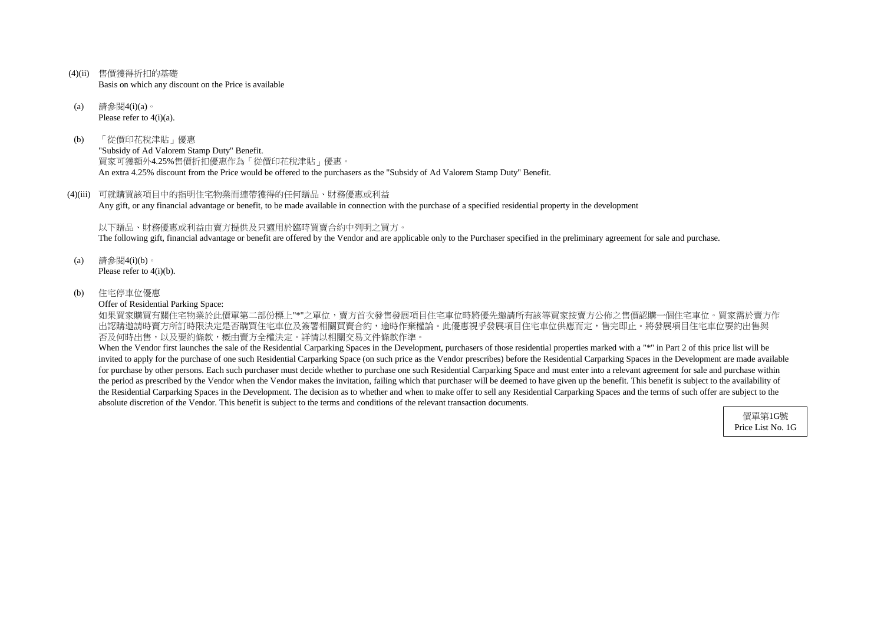- (4)(ii) 售價獲得折扣的基礎 Basis on which any discount on the Price is available
- (a) 請參閱4(i)(a)。 Please refer to 4(i)(a).
- (b) 「從價印花稅津貼」優惠 "Subsidy of Ad Valorem Stamp Duty" Benefit. 買家可獲額外4.25%售價折扣優惠作為「從價印花稅津貼」優惠。 An extra 4.25% discount from the Price would be offered to the purchasers as the "Subsidy of Ad Valorem Stamp Duty" Benefit.
- (4)(iii) 可就購買該項目中的指明住宅物業而連帶獲得的任何贈品、財務優惠或利益 Any gift, or any financial advantage or benefit, to be made available in connection with the purchase of a specified residential property in the development

如果買家購買有關住宅物業於此價單第二部份標上"\*"之單位,賣方首次發售發展項目住宅車位時將優先邀請所有該等買家按賣方公佈之售價認購一個住宅車位。買家需於賣方作 出認購邀請時賣方所訂時限決定是否購買住宅車位及簽署相關買賣合約,逾時作棄權論。此優惠視乎發展項目住宅車位供應而定,售完即止。將發展項目住宅車位要約出售與 否及何時出售,以及要約條款,概由賣方全權決定。詳情以相關交易文件條款作準。

以下贈品、財務優惠或利益由賣方提供及只適用於臨時買賣合約中列明之買方。 The following gift, financial advantage or benefit are offered by the Vendor and are applicable only to the Purchaser specified in the preliminary agreement for sale and purchase.

- (a) 請參閱4(i)(b)。 Please refer to 4(i)(b).
- (b) 住宅停車位優惠

Offer of Residential Parking Space:

When the Vendor first launches the sale of the Residential Carparking Spaces in the Development, purchasers of those residential properties marked with a "\*" in Part 2 of this price list will be invited to apply for the purchase of one such Residential Carparking Space (on such price as the Vendor prescribes) before the Residential Carparking Spaces in the Development are made available for purchase by other persons. Each such purchaser must decide whether to purchase one such Residential Carparking Space and must enter into a relevant agreement for sale and purchase within the period as prescribed by the Vendor when the Vendor makes the invitation, failing which that purchaser will be deemed to have given up the benefit. This benefit is subject to the availability of the Residential Carparking Spaces in the Development. The decision as to whether and when to make offer to sell any Residential Carparking Spaces and the terms of such offer are subject to the absolute discretion of the Vendor. This benefit is subject to the terms and conditions of the relevant transaction documents.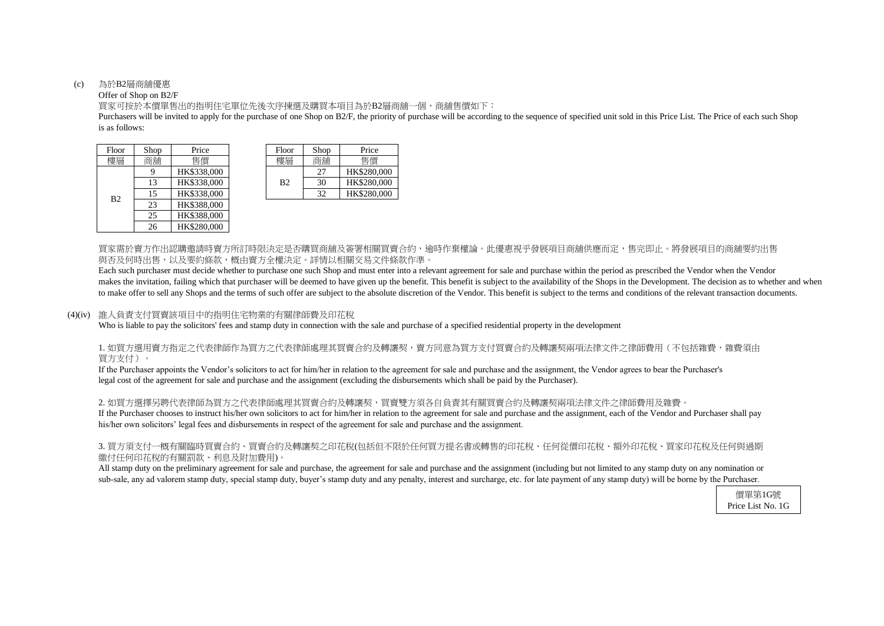#### (c) 為於B2層商舖優惠

### Offer of Shop on B2/F

is as follows: Purchasers will be invited to apply for the purchase of one Shop on B2/F, the priority of purchase will be according to the sequence of specified unit sold in this Price List. The Price of each such Shop

買家可按於本價單售出的指明住宅單位先後次序揀選及購買本項目為於B2層商舖一個,商舖售價如下:

買家需於賣方作出認購邀請時賣方所訂時限決定是否購買商舖及簽署相關買賣合約,逾時作棄權論。此優惠視乎發展項目商舖供應而定,售完即止。將發展項目的商舖要約出售 與否及何時出售,以及要約條款,概由賣方全權決定。詳情以相關交易文件條款作準。

Each such purchaser must decide whether to purchase one such Shop and must enter into a relevant agreement for sale and purchase within the period as prescribed the Vendor when the Vendor makes the invitation, failing which that purchaser will be deemed to have given up the benefit. This benefit is subject to the availability of the Shops in the Development. The decision as to whether and when to make offer to sell any Shops and the terms of such offer are subject to the absolute discretion of the Vendor. This benefit is subject to the terms and conditions of the relevant transaction documents.

# 1. 如買方選用賣方指定之代表律師作為買方之代表律師處理其買賣合約及轉讓契,賣方同意為買方支付買賣合約及轉讓契兩項法律文件之律師費用(不包括雜費,雜費須由 買方支付)。

2. 如買方選擇另聘代表律師為買方之代表律師處理其買賣合約及轉讓契,買賣雙方須各自負責其有關買賣合約及轉讓契兩項法律文件之律師費用及雜費。 If the Purchaser chooses to instruct his/her own solicitors to act for him/her in relation to the agreement for sale and purchase and the assignment, each of the Vendor and Purchaser shall pay his/her own solicitors' legal fees and disbursements in respect of the agreement for sale and purchase and the assignment.

### (4)(iv) 誰人負責支付買賣該項目中的指明住宅物業的有關律師費及印花稅

Who is liable to pay the solicitors' fees and stamp duty in connection with the sale and purchase of a specified residential property in the development

| Floor          | Shop | Price       | Floor          | Shop | Price    |
|----------------|------|-------------|----------------|------|----------|
| 樓層             | 商鋪   | 售價          | 樓層             | 商鋪   | 售價       |
|                | 9    | HK\$338,000 |                | 27   | HK\$280, |
|                | 13   | HK\$338,000 | B <sub>2</sub> | 30   | HK\$280, |
| B <sub>2</sub> | 15   | HK\$338,000 |                | 32   | HK\$280, |
|                | 23   | HK\$388,000 |                |      |          |
|                | 25   | HK\$388,000 |                |      |          |
|                | 26   | HK\$280,000 |                |      |          |

| hop | Price       | Floor          | Shop | Price       |
|-----|-------------|----------------|------|-------------|
| 鋪铺  | 售價          | 樓層             | 商舖   | 售價          |
| q   | HK\$338,000 |                | 27   | HK\$280,000 |
| 13  | HK\$338,000 | B <sub>2</sub> | 30   | HK\$280,000 |
| 15  | HK\$338,000 |                | 32   | HK\$280,000 |

If the Purchaser appoints the Vendor's solicitors to act for him/her in relation to the agreement for sale and purchase and the assignment, the Vendor agrees to bear the Purchaser's legal cost of the agreement for sale and purchase and the assignment (excluding the disbursements which shall be paid by the Purchaser).

# 3. 買方須支付一概有關臨時買賣合約、買賣合約及轉讓契之印花稅(包括但不限於任何買方提名書或轉售的印花稅、任何從價印花稅、額外印花稅、買家印花稅及任何與過期 繳付任何印花稅的有關罰款、利息及附加費用)。

All stamp duty on the preliminary agreement for sale and purchase, the agreement for sale and purchase and the assignment (including but not limited to any stamp duty on any nomination or sub-sale, any ad valorem stamp duty, special stamp duty, buyer's stamp duty and any penalty, interest and surcharge, etc. for late payment of any stamp duty) will be borne by the Purchaser.